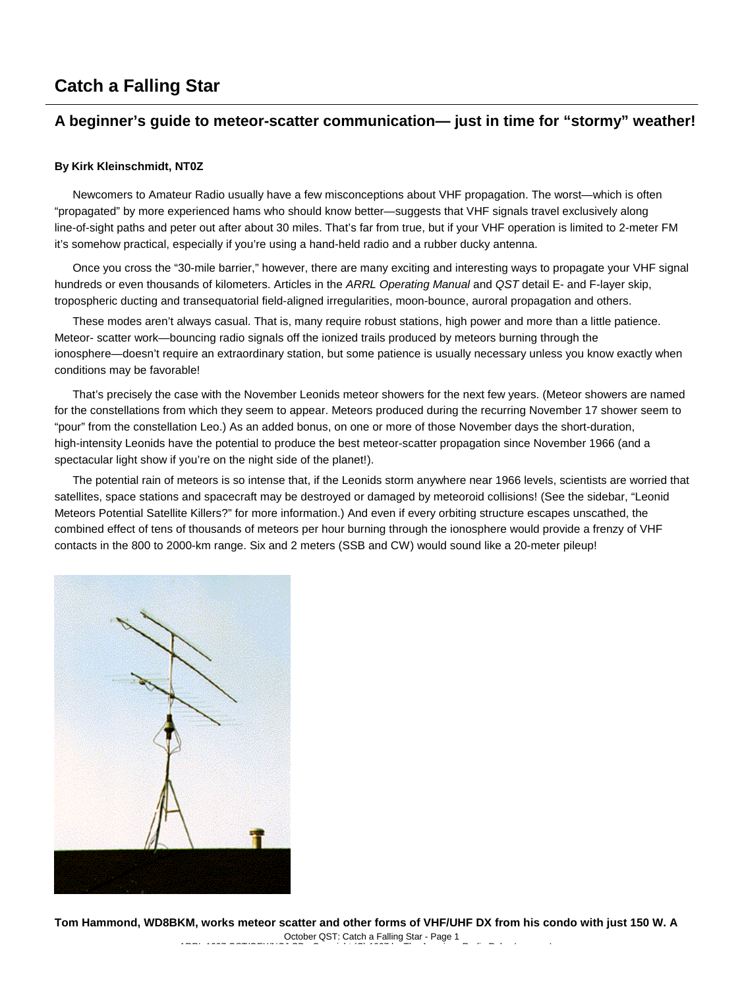# **Catch a Falling Star**

# **A beginner's guide to meteor-scatter communication— just in time for "stormy" weather!**

#### **By Kirk Kleinschmidt, NT0Z**

Newcomers to Amateur Radio usually have a few misconceptions about VHF propagation. The worst—which is often "propagated" by more experienced hams who should know better—suggests that VHF signals travel exclusively along line-of-sight paths and peter out after about 30 miles. That's far from true, but if your VHF operation is limited to 2-meter FM it's somehow practical, especially if you're using a hand-held radio and a rubber ducky antenna.

Once you cross the "30-mile barrier," however, there are many exciting and interesting ways to propagate your VHF signal hundreds or even thousands of kilometers. Articles in the *ARRL Operating Manual* and *QST* detail E- and F-layer skip, tropospheric ducting and transequatorial field-aligned irregularities, moon-bounce, auroral propagation and others.

These modes aren't always casual. That is, many require robust stations, high power and more than a little patience. Meteor- scatter work—bouncing radio signals off the ionized trails produced by meteors burning through the ionosphere—doesn't require an extraordinary station, but some patience is usually necessary unless you know exactly when conditions may be favorable!

That's precisely the case with the November Leonids meteor showers for the next few years. (Meteor showers are named for the constellations from which they seem to appear. Meteors produced during the recurring November 17 shower seem to "pour" from the constellation Leo.) As an added bonus, on one or more of those November days the short-duration, high-intensity Leonids have the potential to produce the best meteor-scatter propagation since November 1966 (and a spectacular light show if you're on the night side of the planet!).

The potential rain of meteors is so intense that, if the Leonids storm anywhere near 1966 levels, scientists are worried that satellites, space stations and spacecraft may be destroyed or damaged by meteoroid collisions! (See the sidebar, "Leonid Meteors Potential Satellite Killers?" for more information.) And even if every orbiting structure escapes unscathed, the combined effect of tens of thousands of meteors per hour burning through the ionosphere would provide a frenzy of VHF contacts in the 800 to 2000-km range. Six and 2 meters (SSB and CW) would sound like a 20-meter pileup!

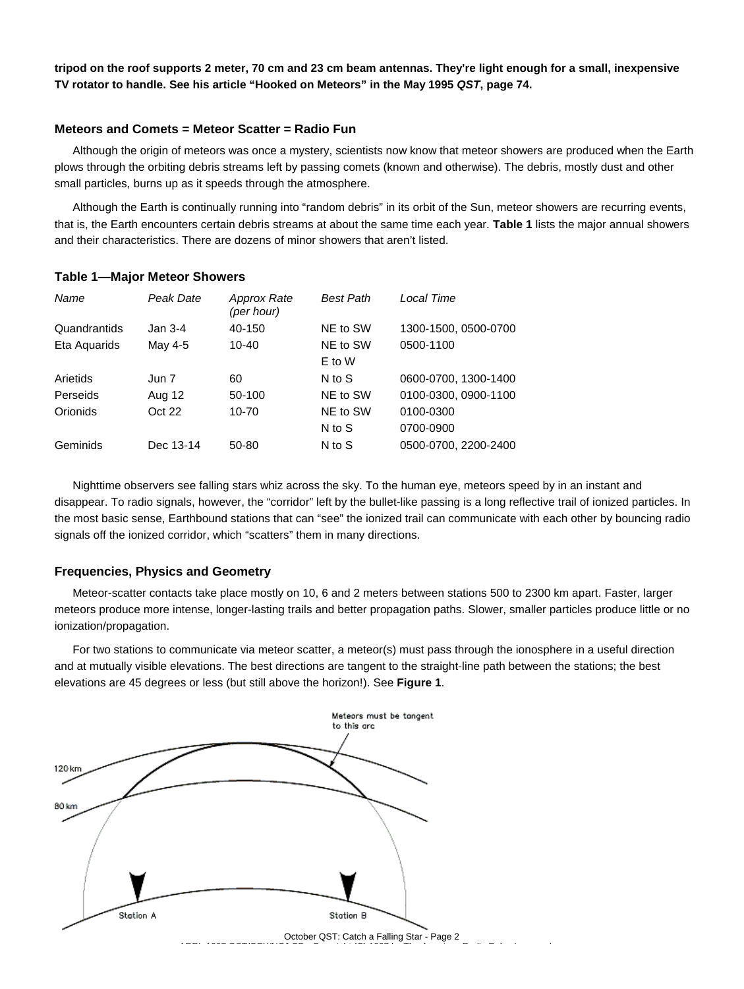**tripod on the roof supports 2 meter, 70 cm and 23 cm beam antennas. They're light enough for a small, inexpensive TV rotator to handle. See his article "Hooked on Meteors" in the May 1995** *QST***, page 74.**

## **Meteors and Comets = Meteor Scatter = Radio Fun**

Although the origin of meteors was once a mystery, scientists now know that meteor showers are produced when the Earth plows through the orbiting debris streams left by passing comets (known and otherwise). The debris, mostly dust and other small particles, burns up as it speeds through the atmosphere.

Although the Earth is continually running into "random debris" in its orbit of the Sun, meteor showers are recurring events, that is, the Earth encounters certain debris streams at about the same time each year. **Table 1** lists the major annual showers and their characteristics. There are dozens of minor showers that aren't listed.

#### **Table 1—Major Meteor Showers**

| Name         | Peak Date | <b>Approx Rate</b><br>(per hour) | <b>Best Path</b> | Local Time           |
|--------------|-----------|----------------------------------|------------------|----------------------|
| Quandrantids | Jan $3-4$ | 40-150                           | NE to SW         | 1300-1500, 0500-0700 |
| Eta Aguarids | May 4-5   | $10 - 40$                        | NE to SW         | 0500-1100            |
|              |           |                                  | E to W           |                      |
| Arietids     | Jun 7     | 60                               | N to S           | 0600-0700, 1300-1400 |
| Perseids     | Aug 12    | 50-100                           | NE to SW         | 0100-0300, 0900-1100 |
| Orionids     | Oct 22    | 10-70                            | NE to SW         | 0100-0300            |
|              |           |                                  | N to S           | 0700-0900            |
| Geminids     | Dec 13-14 | 50-80                            | N to S           | 0500-0700, 2200-2400 |

Nighttime observers see falling stars whiz across the sky. To the human eye, meteors speed by in an instant and disappear. To radio signals, however, the "corridor" left by the bullet-like passing is a long reflective trail of ionized particles. In the most basic sense, Earthbound stations that can "see" the ionized trail can communicate with each other by bouncing radio signals off the ionized corridor, which "scatters" them in many directions.

### **Frequencies, Physics and Geometry**

Meteor-scatter contacts take place mostly on 10, 6 and 2 meters between stations 500 to 2300 km apart. Faster, larger meteors produce more intense, longer-lasting trails and better propagation paths. Slower, smaller particles produce little or no ionization/propagation.

For two stations to communicate via meteor scatter, a meteor(s) must pass through the ionosphere in a useful direction and at mutually visible elevations. The best directions are tangent to the straight-line path between the stations; the best elevations are 45 degrees or less (but still above the horizon!). See **Figure 1**.



October QST: Catch a Falling Star - Page 2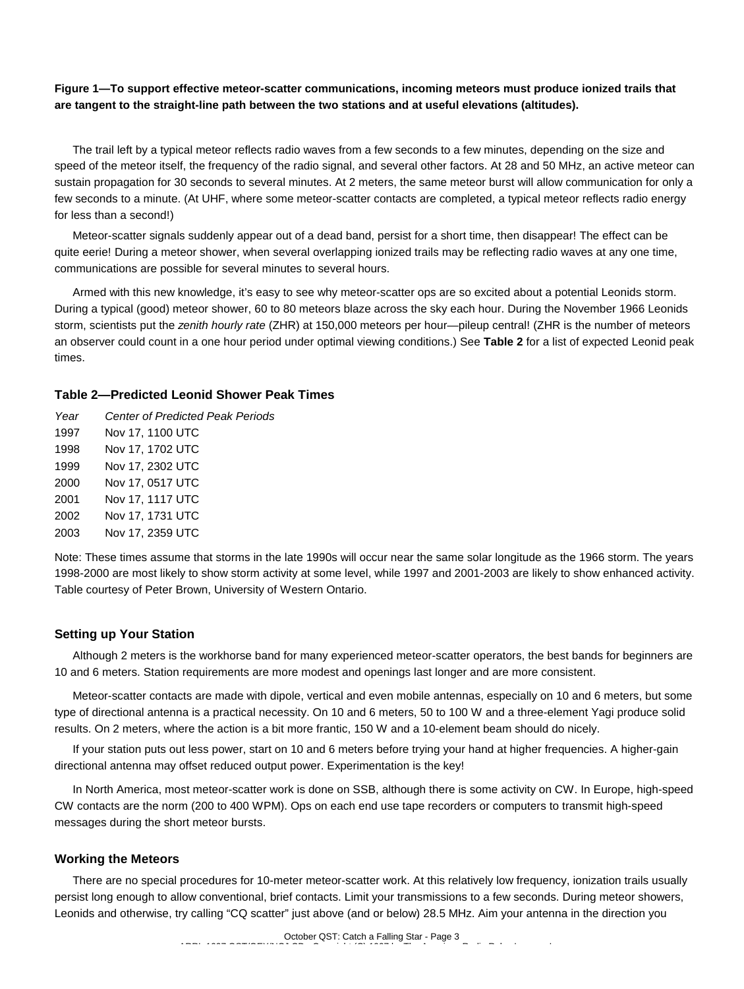# **Figure 1—To support effective meteor-scatter communications, incoming meteors must produce ionized trails that are tangent to the straight-line path between the two stations and at useful elevations (altitudes).**

The trail left by a typical meteor reflects radio waves from a few seconds to a few minutes, depending on the size and speed of the meteor itself, the frequency of the radio signal, and several other factors. At 28 and 50 MHz, an active meteor can sustain propagation for 30 seconds to several minutes. At 2 meters, the same meteor burst will allow communication for only a few seconds to a minute. (At UHF, where some meteor-scatter contacts are completed, a typical meteor reflects radio energy for less than a second!)

Meteor-scatter signals suddenly appear out of a dead band, persist for a short time, then disappear! The effect can be quite eerie! During a meteor shower, when several overlapping ionized trails may be reflecting radio waves at any one time, communications are possible for several minutes to several hours.

Armed with this new knowledge, it's easy to see why meteor-scatter ops are so excited about a potential Leonids storm. During a typical (good) meteor shower, 60 to 80 meteors blaze across the sky each hour. During the November 1966 Leonids storm, scientists put the *zenith hourly rate* (ZHR) at 150,000 meteors per hour—pileup central! (ZHR is the number of meteors an observer could count in a one hour period under optimal viewing conditions.) See **Table 2** for a list of expected Leonid peak times.

# **Table 2—Predicted Leonid Shower Peak Times**

*Year Center of Predicted Peak Periods* 1997 Nov 17, 1100 UTC 1998 Nov 17, 1702 UTC 1999 Nov 17, 2302 UTC 2000 Nov 17, 0517 UTC 2001 Nov 17, 1117 UTC 2002 Nov 17, 1731 UTC 2003 Nov 17, 2359 UTC

Note: These times assume that storms in the late 1990s will occur near the same solar longitude as the 1966 storm. The years 1998-2000 are most likely to show storm activity at some level, while 1997 and 2001-2003 are likely to show enhanced activity. Table courtesy of Peter Brown, University of Western Ontario.

# **Setting up Your Station**

Although 2 meters is the workhorse band for many experienced meteor-scatter operators, the best bands for beginners are 10 and 6 meters. Station requirements are more modest and openings last longer and are more consistent.

Meteor-scatter contacts are made with dipole, vertical and even mobile antennas, especially on 10 and 6 meters, but some type of directional antenna is a practical necessity. On 10 and 6 meters, 50 to 100 W and a three-element Yagi produce solid results. On 2 meters, where the action is a bit more frantic, 150 W and a 10-element beam should do nicely.

If your station puts out less power, start on 10 and 6 meters before trying your hand at higher frequencies. A higher-gain directional antenna may offset reduced output power. Experimentation is the key!

In North America, most meteor-scatter work is done on SSB, although there is some activity on CW. In Europe, high-speed CW contacts are the norm (200 to 400 WPM). Ops on each end use tape recorders or computers to transmit high-speed messages during the short meteor bursts.

# **Working the Meteors**

There are no special procedures for 10-meter meteor-scatter work. At this relatively low frequency, ionization trails usually persist long enough to allow conventional, brief contacts. Limit your transmissions to a few seconds. During meteor showers, Leonids and otherwise, try calling "CQ scatter" just above (and or below) 28.5 MHz. Aim your antenna in the direction you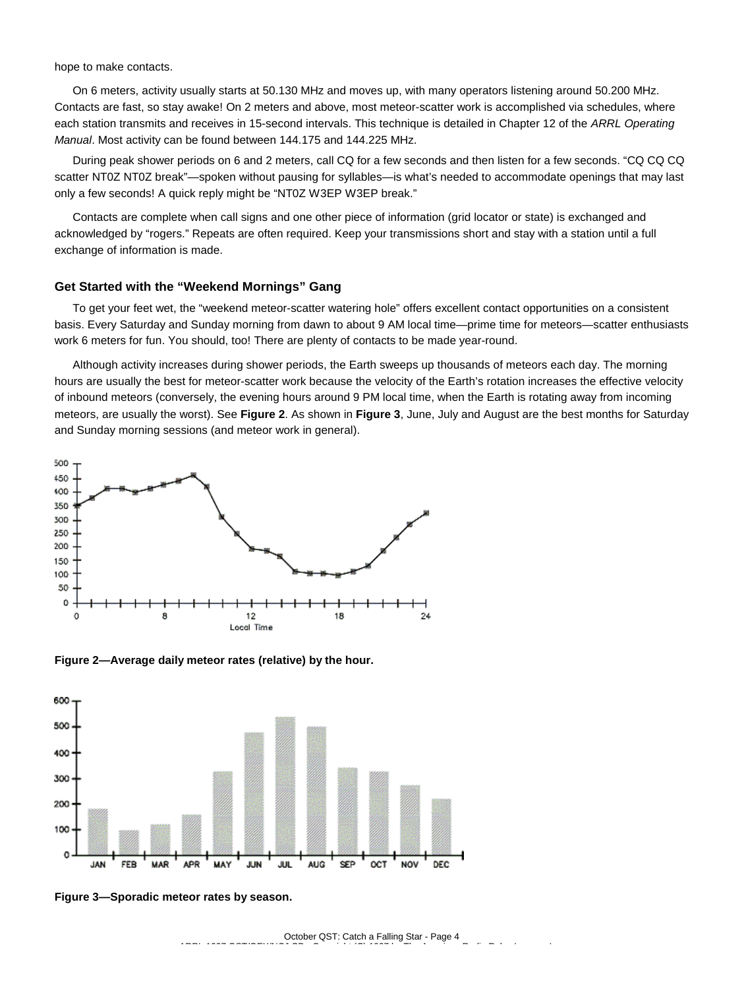hope to make contacts.

On 6 meters, activity usually starts at 50.130 MHz and moves up, with many operators listening around 50.200 MHz. Contacts are fast, so stay awake! On 2 meters and above, most meteor-scatter work is accomplished via schedules, where each station transmits and receives in 15-second intervals. This technique is detailed in Chapter 12 of the *ARRL Operating Manual*. Most activity can be found between 144.175 and 144.225 MHz.

During peak shower periods on 6 and 2 meters, call CQ for a few seconds and then listen for a few seconds. "CQ CQ CQ scatter NT0Z NT0Z break"—spoken without pausing for syllables—is what's needed to accommodate openings that may last only a few seconds! A quick reply might be "NT0Z W3EP W3EP break."

Contacts are complete when call signs and one other piece of information (grid locator or state) is exchanged and acknowledged by "rogers." Repeats are often required. Keep your transmissions short and stay with a station until a full exchange of information is made.

#### **Get Started with the "Weekend Mornings" Gang**

To get your feet wet, the "weekend meteor-scatter watering hole" offers excellent contact opportunities on a consistent basis. Every Saturday and Sunday morning from dawn to about 9 AM local time—prime time for meteors—scatter enthusiasts work 6 meters for fun. You should, too! There are plenty of contacts to be made year-round.

Although activity increases during shower periods, the Earth sweeps up thousands of meteors each day. The morning hours are usually the best for meteor-scatter work because the velocity of the Earth's rotation increases the effective velocity of inbound meteors (conversely, the evening hours around 9 PM local time, when the Earth is rotating away from incoming meteors, are usually the worst). See **Figure 2**. As shown in **Figure 3**, June, July and August are the best months for Saturday and Sunday morning sessions (and meteor work in general).



**Figure 2—Average daily meteor rates (relative) by the hour.**



**Figure 3—Sporadic meteor rates by season.**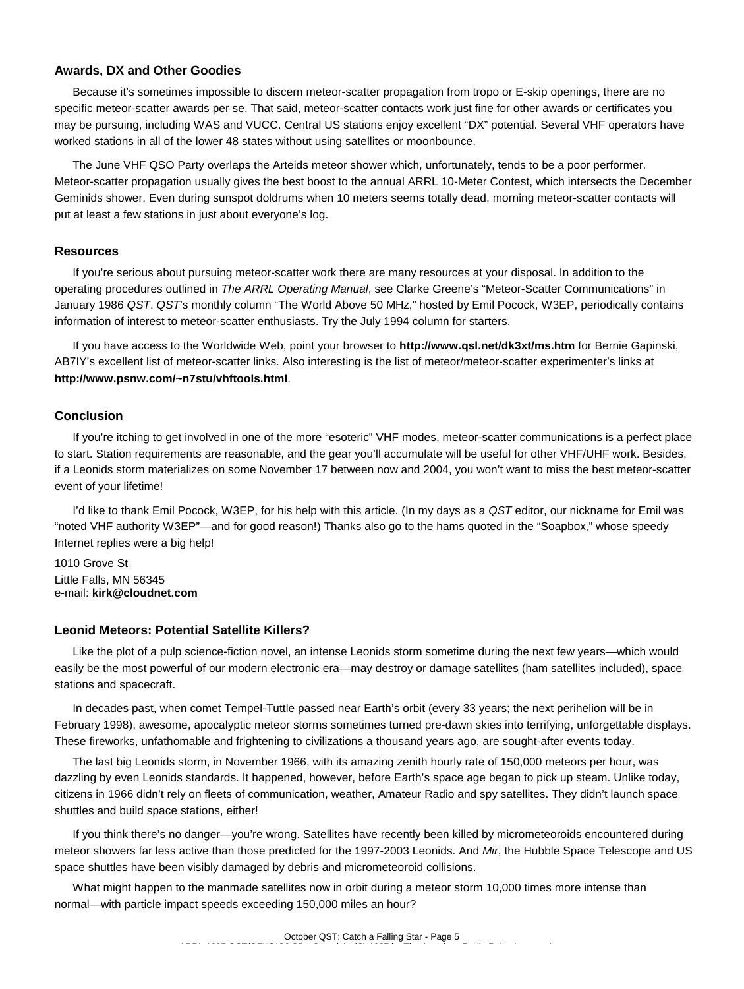## **Awards, DX and Other Goodies**

Because it's sometimes impossible to discern meteor-scatter propagation from tropo or E-skip openings, there are no specific meteor-scatter awards per se. That said, meteor-scatter contacts work just fine for other awards or certificates you may be pursuing, including WAS and VUCC. Central US stations enjoy excellent "DX" potential. Several VHF operators have worked stations in all of the lower 48 states without using satellites or moonbounce.

The June VHF QSO Party overlaps the Arteids meteor shower which, unfortunately, tends to be a poor performer. Meteor-scatter propagation usually gives the best boost to the annual ARRL 10-Meter Contest, which intersects the December Geminids shower. Even during sunspot doldrums when 10 meters seems totally dead, morning meteor-scatter contacts will put at least a few stations in just about everyone's log.

#### **Resources**

If you're serious about pursuing meteor-scatter work there are many resources at your disposal. In addition to the operating procedures outlined in *The ARRL Operating Manual*, see Clarke Greene's "Meteor-Scatter Communications" in January 1986 *QST*. *QST*'s monthly column "The World Above 50 MHz," hosted by Emil Pocock, W3EP, periodically contains information of interest to meteor-scatter enthusiasts. Try the July 1994 column for starters.

If you have access to the Worldwide Web, point your browser to **http://www.qsl.net/dk3xt/ms.htm** for Bernie Gapinski, AB7IY's excellent list of meteor-scatter links. Also interesting is the list of meteor/meteor-scatter experimenter's links at **http://www.psnw.com/~n7stu/vhftools.html**.

#### **Conclusion**

If you're itching to get involved in one of the more "esoteric" VHF modes, meteor-scatter communications is a perfect place to start. Station requirements are reasonable, and the gear you'll accumulate will be useful for other VHF/UHF work. Besides, if a Leonids storm materializes on some November 17 between now and 2004, you won't want to miss the best meteor-scatter event of your lifetime!

I'd like to thank Emil Pocock, W3EP, for his help with this article. (In my days as a *QST* editor, our nickname for Emil was "noted VHF authority W3EP"—and for good reason!) Thanks also go to the hams quoted in the "Soapbox," whose speedy Internet replies were a big help!

1010 Grove St Little Falls, MN 56345 e-mail: **kirk@cloudnet.com**

#### **Leonid Meteors: Potential Satellite Killers?**

Like the plot of a pulp science-fiction novel, an intense Leonids storm sometime during the next few years—which would easily be the most powerful of our modern electronic era—may destroy or damage satellites (ham satellites included), space stations and spacecraft.

In decades past, when comet Tempel-Tuttle passed near Earth's orbit (every 33 years; the next perihelion will be in February 1998), awesome, apocalyptic meteor storms sometimes turned pre-dawn skies into terrifying, unforgettable displays. These fireworks, unfathomable and frightening to civilizations a thousand years ago, are sought-after events today.

The last big Leonids storm, in November 1966, with its amazing zenith hourly rate of 150,000 meteors per hour, was dazzling by even Leonids standards. It happened, however, before Earth's space age began to pick up steam. Unlike today, citizens in 1966 didn't rely on fleets of communication, weather, Amateur Radio and spy satellites. They didn't launch space shuttles and build space stations, either!

If you think there's no danger—you're wrong. Satellites have recently been killed by micrometeoroids encountered during meteor showers far less active than those predicted for the 1997-2003 Leonids. And *Mir*, the Hubble Space Telescope and US space shuttles have been visibly damaged by debris and micrometeoroid collisions.

What might happen to the manmade satellites now in orbit during a meteor storm 10,000 times more intense than normal—with particle impact speeds exceeding 150,000 miles an hour?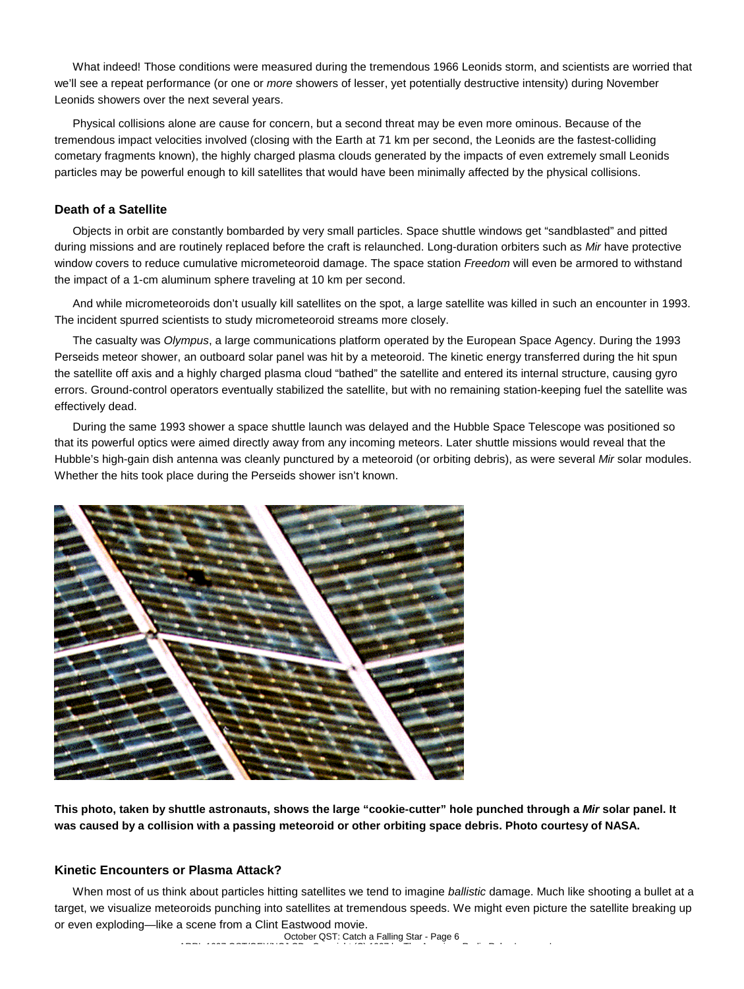What indeed! Those conditions were measured during the tremendous 1966 Leonids storm, and scientists are worried that we'll see a repeat performance (or one or *more* showers of lesser, yet potentially destructive intensity) during November Leonids showers over the next several years.

Physical collisions alone are cause for concern, but a second threat may be even more ominous. Because of the tremendous impact velocities involved (closing with the Earth at 71 km per second, the Leonids are the fastest-colliding cometary fragments known), the highly charged plasma clouds generated by the impacts of even extremely small Leonids particles may be powerful enough to kill satellites that would have been minimally affected by the physical collisions.

# **Death of a Satellite**

Objects in orbit are constantly bombarded by very small particles. Space shuttle windows get "sandblasted" and pitted during missions and are routinely replaced before the craft is relaunched. Long-duration orbiters such as *Mir* have protective window covers to reduce cumulative micrometeoroid damage. The space station *Freedom* will even be armored to withstand the impact of a 1-cm aluminum sphere traveling at 10 km per second.

And while micrometeoroids don't usually kill satellites on the spot, a large satellite was killed in such an encounter in 1993. The incident spurred scientists to study micrometeoroid streams more closely.

The casualty was *Olympus*, a large communications platform operated by the European Space Agency. During the 1993 Perseids meteor shower, an outboard solar panel was hit by a meteoroid. The kinetic energy transferred during the hit spun the satellite off axis and a highly charged plasma cloud "bathed" the satellite and entered its internal structure, causing gyro errors. Ground-control operators eventually stabilized the satellite, but with no remaining station-keeping fuel the satellite was effectively dead.

During the same 1993 shower a space shuttle launch was delayed and the Hubble Space Telescope was positioned so that its powerful optics were aimed directly away from any incoming meteors. Later shuttle missions would reveal that the Hubble's high-gain dish antenna was cleanly punctured by a meteoroid (or orbiting debris), as were several *Mir* solar modules. Whether the hits took place during the Perseids shower isn't known.



**This photo, taken by shuttle astronauts, shows the large "cookie-cutter" hole punched through a** *Mir* **solar panel. It was caused by a collision with a passing meteoroid or other orbiting space debris. Photo courtesy of NASA.**

# **Kinetic Encounters or Plasma Attack?**

When most of us think about particles hitting satellites we tend to imagine *ballistic* damage. Much like shooting a bullet at a target, we visualize meteoroids punching into satellites at tremendous speeds. We might even picture the satellite breaking up or even exploding—like a scene from a Clint Eastwood movie.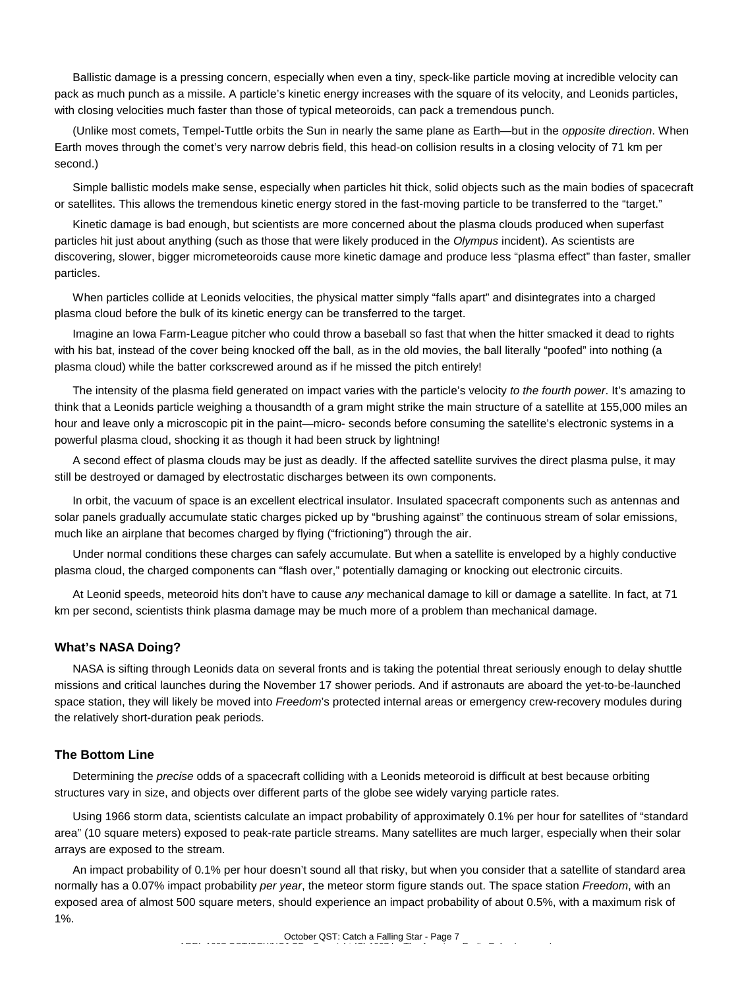Ballistic damage is a pressing concern, especially when even a tiny, speck-like particle moving at incredible velocity can pack as much punch as a missile. A particle's kinetic energy increases with the square of its velocity, and Leonids particles, with closing velocities much faster than those of typical meteoroids, can pack a tremendous punch.

(Unlike most comets, Tempel-Tuttle orbits the Sun in nearly the same plane as Earth—but in the *opposite direction*. When Earth moves through the comet's very narrow debris field, this head-on collision results in a closing velocity of 71 km per second.)

Simple ballistic models make sense, especially when particles hit thick, solid objects such as the main bodies of spacecraft or satellites. This allows the tremendous kinetic energy stored in the fast-moving particle to be transferred to the "target."

Kinetic damage is bad enough, but scientists are more concerned about the plasma clouds produced when superfast particles hit just about anything (such as those that were likely produced in the *Olympus* incident). As scientists are discovering, slower, bigger micrometeoroids cause more kinetic damage and produce less "plasma effect" than faster, smaller particles.

When particles collide at Leonids velocities, the physical matter simply "falls apart" and disintegrates into a charged plasma cloud before the bulk of its kinetic energy can be transferred to the target.

Imagine an Iowa Farm-League pitcher who could throw a baseball so fast that when the hitter smacked it dead to rights with his bat, instead of the cover being knocked off the ball, as in the old movies, the ball literally "poofed" into nothing (a plasma cloud) while the batter corkscrewed around as if he missed the pitch entirely!

The intensity of the plasma field generated on impact varies with the particle's velocity *to the fourth power*. It's amazing to think that a Leonids particle weighing a thousandth of a gram might strike the main structure of a satellite at 155,000 miles an hour and leave only a microscopic pit in the paint—micro- seconds before consuming the satellite's electronic systems in a powerful plasma cloud, shocking it as though it had been struck by lightning!

A second effect of plasma clouds may be just as deadly. If the affected satellite survives the direct plasma pulse, it may still be destroyed or damaged by electrostatic discharges between its own components.

In orbit, the vacuum of space is an excellent electrical insulator. Insulated spacecraft components such as antennas and solar panels gradually accumulate static charges picked up by "brushing against" the continuous stream of solar emissions, much like an airplane that becomes charged by flying ("frictioning") through the air.

Under normal conditions these charges can safely accumulate. But when a satellite is enveloped by a highly conductive plasma cloud, the charged components can "flash over," potentially damaging or knocking out electronic circuits.

At Leonid speeds, meteoroid hits don't have to cause *any* mechanical damage to kill or damage a satellite. In fact, at 71 km per second, scientists think plasma damage may be much more of a problem than mechanical damage.

### **What's NASA Doing?**

NASA is sifting through Leonids data on several fronts and is taking the potential threat seriously enough to delay shuttle missions and critical launches during the November 17 shower periods. And if astronauts are aboard the yet-to-be-launched space station, they will likely be moved into *Freedom*'s protected internal areas or emergency crew-recovery modules during the relatively short-duration peak periods.

#### **The Bottom Line**

Determining the *precise* odds of a spacecraft colliding with a Leonids meteoroid is difficult at best because orbiting structures vary in size, and objects over different parts of the globe see widely varying particle rates.

Using 1966 storm data, scientists calculate an impact probability of approximately 0.1% per hour for satellites of "standard area" (10 square meters) exposed to peak-rate particle streams. Many satellites are much larger, especially when their solar arrays are exposed to the stream.

An impact probability of 0.1% per hour doesn't sound all that risky, but when you consider that a satellite of standard area normally has a 0.07% impact probability *per year*, the meteor storm figure stands out. The space station *Freedom*, with an exposed area of almost 500 square meters, should experience an impact probability of about 0.5%, with a maximum risk of 1%.